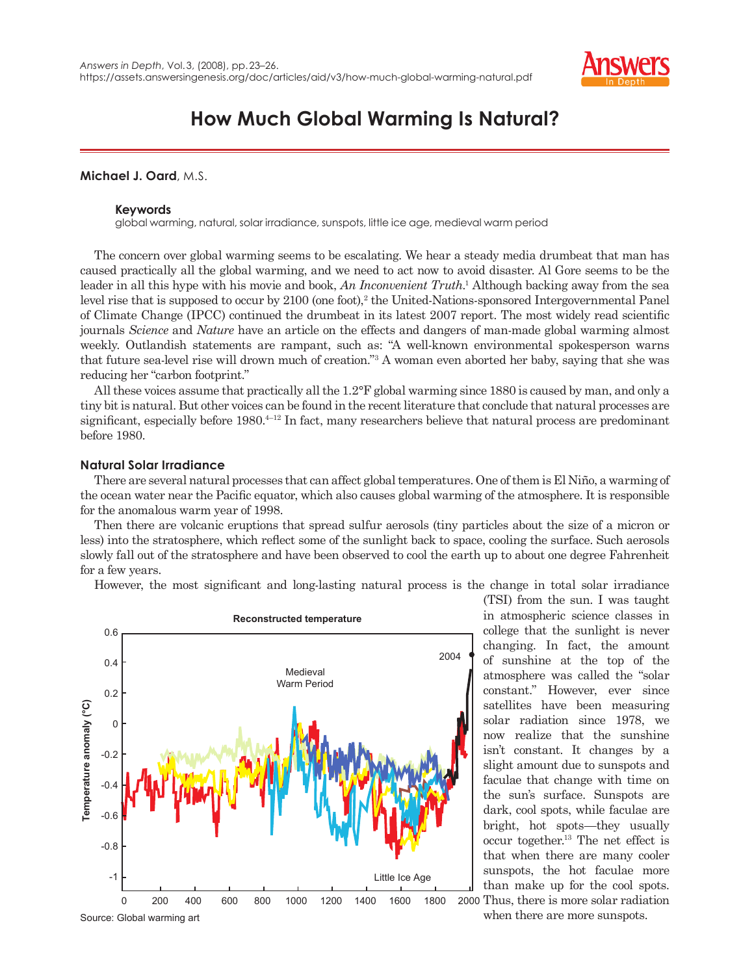

# **How Much Global Warming Is Natural?**

**Michael J. Oard**, M.S.

# **Keywords**

global warming, natural, solar irradiance, sunspots, little ice age, medieval warm period

The concern over global warming seems to be escalating. We hear a steady media drumbeat that man has caused practically all the global warming, and we need to act now to avoid disaster. Al Gore seems to be the leader in all this hype with his movie and book, *An Inconvenient Truth*. 1 Although backing away from the sea level rise that is supposed to occur by  $2100$  (one foot),<sup>2</sup> the United-Nations-sponsored Intergovernmental Panel of Climate Change (IPCC) continued the drumbeat in its latest 2007 report. The most widely read scientific journals *Science* and *Nature* have an article on the effects and dangers of man-made global warming almost weekly. Outlandish statements are rampant, such as: "A well-known environmental spokesperson warns that future sea-level rise will drown much of creation."3 A woman even aborted her baby, saying that she was reducing her "carbon footprint."

All these voices assume that practically all the 1.2°F global warming since 1880 is caused by man, and only a tiny bit is natural. But other voices can be found in the recent literature that conclude that natural processes are significant, especially before 1980.<sup>4-12</sup> In fact, many researchers believe that natural process are predominant before 1980.

# **Natural Solar Irradiance**

There are several natural processes that can affect global temperatures. One of them is El Niño, a warming of the ocean water near the Pacific equator, which also causes global warming of the atmosphere. It is responsible for the anomalous warm year of 1998.

Then there are volcanic eruptions that spread sulfur aerosols (tiny particles about the size of a micron or less) into the stratosphere, which reflect some of the sunlight back to space, cooling the surface. Such aerosols slowly fall out of the stratosphere and have been observed to cool the earth up to about one degree Fahrenheit for a few years.

However, the most significant and long-lasting natural process is the change in total solar irradiance



(TSI) from the sun. I was taught in atmospheric science classes in college that the sunlight is never changing. In fact, the amount of sunshine at the top of the atmosphere was called the "solar constant." However, ever since satellites have been measuring solar radiation since 1978, we now realize that the sunshine isn't constant. It changes by a slight amount due to sunspots and faculae that change with time on the sun's surface. Sunspots are dark, cool spots, while faculae are bright, hot spots—they usually occur together.13 The net effect is that when there are many cooler sunspots, the hot faculae more than make up for the cool spots. Thus, there is more solar radiation

when there are more sunspots.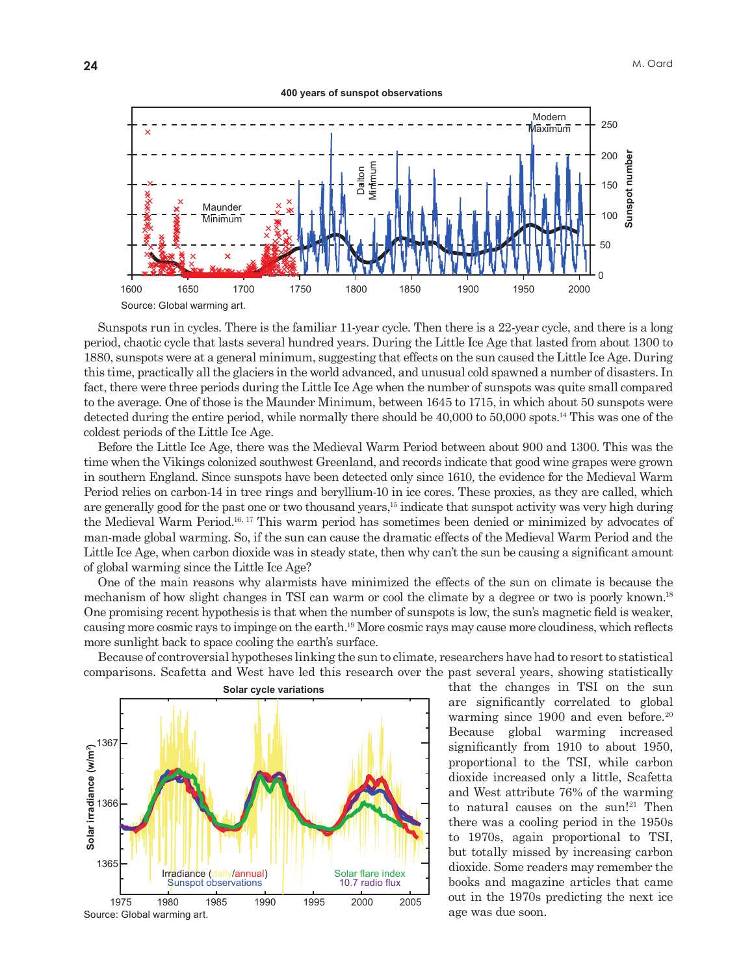400 years of sunspot observations



Sunspots run in cycles. There is the familiar 11-year cycle. Then there is a 22-year cycle, and there is a long period, chaotic cycle that lasts several hundred years. During the Little Ice Age that lasted from about 1300 to 1880, sunspots were at a general minimum, suggesting that effects on the sun caused the Little Ice Age. During this time, practically all the glaciers in the world advanced, and unusual cold spawned a number of disasters. In fact, there were three periods during the Little Ice Age when the number of sunspots was quite small compared to the average. One of those is the Maunder Minimum, between 1645 to 1715, in which about 50 sunspots were detected during the entire period, while normally there should be  $40,000$  to  $50,000$  spots.<sup>14</sup> This was one of the coldest periods of the Little Ice Age.

Before the Little Ice Age, there was the Medieval Warm Period between about 900 and 1300. This was the time when the Vikings colonized southwest Greenland, and records indicate that good wine grapes were grown in southern England. Since sunspots have been detected only since 1610, the evidence for the Medieval Warm Period relies on carbon-14 in tree rings and beryllium-10 in ice cores. These proxies, as they are called, which are generally good for the past one or two thousand years,<sup>15</sup> indicate that sunspot activity was very high during the Medieval Warm Period.<sup>16, 17</sup> This warm period has sometimes been denied or minimized by advocates of man-made global warming. So, if the sun can cause the dramatic effects of the Medieval Warm Period and the Little Ice Age, when carbon dioxide was in steady state, then why can't the sun be causing a significant amount of global warming since the Little Ice Age?

One of the main reasons why alarmists have minimized the effects of the sun on climate is because the mechanism of how slight changes in TSI can warm or cool the climate by a degree or two is poorly known.<sup>18</sup> One promising recent hypothesis is that when the number of sunspots is low, the sun's magnetic field is weaker, causing more cosmic rays to impinge on the earth.<sup>19</sup> More cosmic rays may cause more cloudiness, which reflects more sunlight back to space cooling the earth's surface.

Because of controversial hypotheses linking the sun to climate, researchers have had to resort to statistical comparisons. Scafetta and West have led this research over the past several years, showing statistically



that the changes in TSI on the sun are significantly correlated to global warming since  $1900$  and even before.<sup>20</sup> global warming increased Because significantly from 1910 to about 1950, proportional to the TSI, while carbon dioxide increased only a little, Scafetta and West attribute 76% of the warming to natural causes on the sun!<sup>21</sup> Then there was a cooling period in the 1950s to 1970s, again proportional to TSI, but totally missed by increasing carbon dioxide. Some readers may remember the books and magazine articles that came out in the 1970s predicting the next ice age was due soon.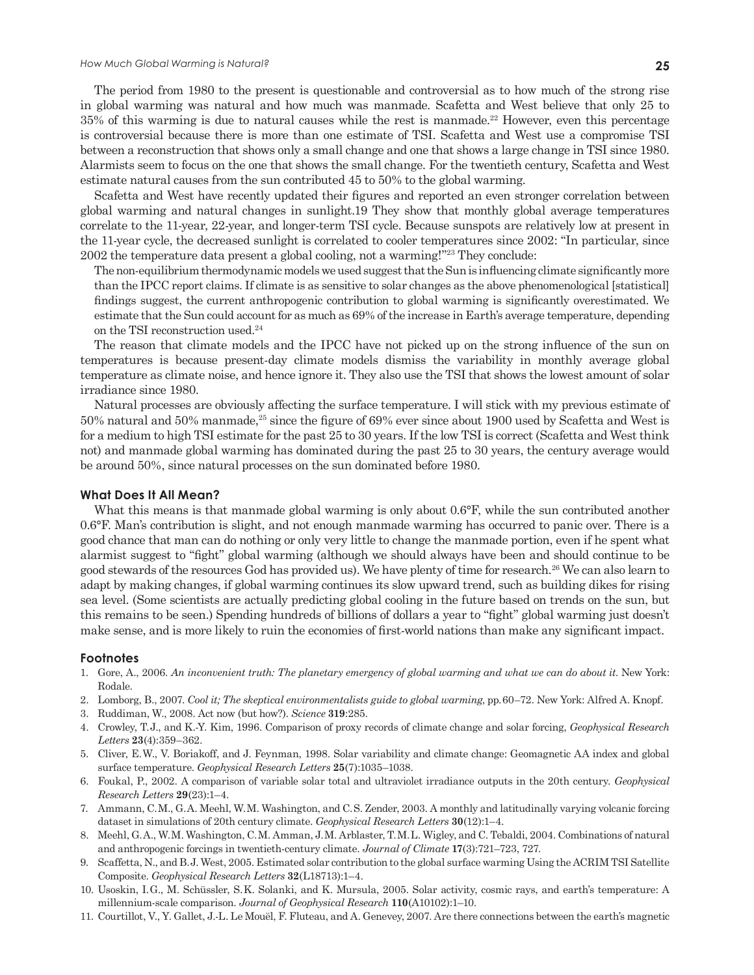#### *How Much Global Warming is Natural?* **25**

The period from 1980 to the present is questionable and controversial as to how much of the strong rise in global warming was natural and how much was manmade. Scafetta and West believe that only 25 to 35% of this warming is due to natural causes while the rest is manmade.22 However, even this percentage is controversial because there is more than one estimate of TSI. Scafetta and West use a compromise TSI between a reconstruction that shows only a small change and one that shows a large change in TSI since 1980. Alarmists seem to focus on the one that shows the small change. For the twentieth century, Scafetta and West estimate natural causes from the sun contributed 45 to 50% to the global warming.

Scafetta and West have recently updated their figures and reported an even stronger correlation between global warming and natural changes in sunlight.19 They show that monthly global average temperatures correlate to the 11-year, 22-year, and longer-term TSI cycle. Because sunspots are relatively low at present in the 11-year cycle, the decreased sunlight is correlated to cooler temperatures since 2002: "In particular, since 2002 the temperature data present a global cooling, not a warming!"23 They conclude:

The non-equilibrium thermodynamic models we used suggest that the Sun is influencing climate significantly more than the IPCC report claims. If climate is as sensitive to solar changes as the above phenomenological [statistical] findings suggest, the current anthropogenic contribution to global warming is significantly overestimated. We estimate that the Sun could account for as much as 69% of the increase in Earth's average temperature, depending on the TSI reconstruction used.<sup>24</sup>

The reason that climate models and the IPCC have not picked up on the strong influence of the sun on temperatures is because present-day climate models dismiss the variability in monthly average global temperature as climate noise, and hence ignore it. They also use the TSI that shows the lowest amount of solar irradiance since 1980.

Natural processes are obviously affecting the surface temperature. I will stick with my previous estimate of 50% natural and 50% manmade,<sup>25</sup> since the figure of 69% ever since about 1900 used by Scafetta and West is for a medium to high TSI estimate for the past 25 to 30 years. If the low TSI is correct (Scafetta and West think not) and manmade global warming has dominated during the past 25 to 30 years, the century average would be around 50%, since natural processes on the sun dominated before 1980.

### **What Does It All Mean?**

What this means is that manmade global warming is only about 0.6 $\degree$ F, while the sun contributed another 0.6°F. Man's contribution is slight, and not enough manmade warming has occurred to panic over. There is a good chance that man can do nothing or only very little to change the manmade portion, even if he spent what alarmist suggest to "fight" global warming (although we should always have been and should continue to be good stewards of the resources God has provided us). We have plenty of time for research.26 We can also learn to adapt by making changes, if global warming continues its slow upward trend, such as building dikes for rising sea level. (Some scientists are actually predicting global cooling in the future based on trends on the sun, but this remains to be seen.) Spending hundreds of billions of dollars a year to "fight" global warming just doesn't make sense, and is more likely to ruin the economies of first-world nations than make any significant impact.

# **Footnotes**

- 1. Gore, A., 2006. *An inconvenient truth: The planetary emergency of global warming and what we can do about it*. New York: Rodale.
- 2. Lomborg, B., 2007. *Cool it; The skeptical environmentalists guide to global warming*, pp. 60–72. New York: Alfred A. Knopf.
- 3. Ruddiman, W., 2008. Act now (but how?). *Science* **319**:285.
- 4. Crowley, T. J., and K.-Y. Kim, 1996. Comparison of proxy records of climate change and solar forcing, *Geophysical Research Letters* **23**(4):359–362.
- 5. Cliver, E. W., V. Boriakoff, and J. Feynman, 1998. Solar variability and climate change: Geomagnetic AA index and global surface temperature. *Geophysical Research Letters* **25**(7):1035–1038.
- 6. Foukal, P., 2002. A comparison of variable solar total and ultraviolet irradiance outputs in the 20th century. *Geophysical Research Letters* **29**(23):1–4.
- 7. Ammann, C. M., G. A. Meehl, W. M. Washington, and C. S. Zender, 2003. A monthly and latitudinally varying volcanic forcing dataset in simulations of 20th century climate. *Geophysical Research Letters* **30**(12):1–4.
- 8. Meehl, G. A., W. M. Washington, C. M. Amman, J. M. Arblaster, T. M. L. Wigley, and C. Tebaldi, 2004. Combinations of natural and anthropogenic forcings in twentieth-century climate. *Journal of Climate* **17**(3):721–723, 727.
- 9. Scaffetta, N., and B. J. West, 2005. Estimated solar contribution to the global surface warming Using the ACRIM TSI Satellite Composite. *Geophysical Research Letters* **32**(L18713):1–4.
- 10. Usoskin, I. G., M. Schüssler, S. K. Solanki, and K. Mursula, 2005. Solar activity, cosmic rays, and earth's temperature: A millennium-scale comparison. *Journal of Geophysical Research* **110**(A10102):1–10.
- 11. Courtillot, V., Y. Gallet, J.-L. Le Mouël, F. Fluteau, and A. Genevey, 2007. Are there connections between the earth's magnetic